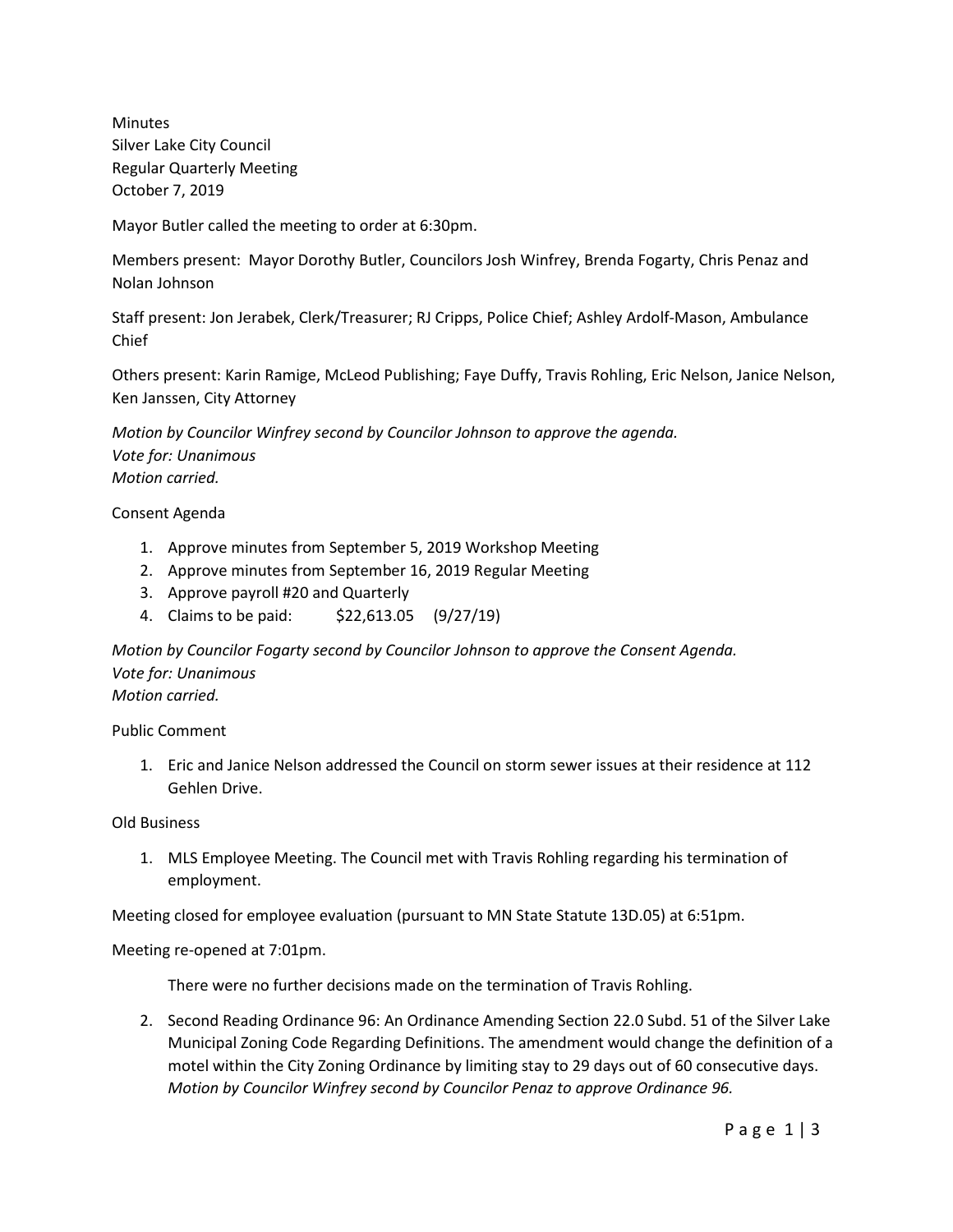Minutes Silver Lake City Council Regular Quarterly Meeting October 7, 2019

Mayor Butler called the meeting to order at 6:30pm.

Members present: Mayor Dorothy Butler, Councilors Josh Winfrey, Brenda Fogarty, Chris Penaz and Nolan Johnson

Staff present: Jon Jerabek, Clerk/Treasurer; RJ Cripps, Police Chief; Ashley Ardolf-Mason, Ambulance Chief

Others present: Karin Ramige, McLeod Publishing; Faye Duffy, Travis Rohling, Eric Nelson, Janice Nelson, Ken Janssen, City Attorney

*Motion by Councilor Winfrey second by Councilor Johnson to approve the agenda. Vote for: Unanimous Motion carried.*

Consent Agenda

- 1. Approve minutes from September 5, 2019 Workshop Meeting
- 2. Approve minutes from September 16, 2019 Regular Meeting
- 3. Approve payroll #20 and Quarterly
- 4. Claims to be paid: \$22,613.05 (9/27/19)

*Motion by Councilor Fogarty second by Councilor Johnson to approve the Consent Agenda. Vote for: Unanimous Motion carried.*

Public Comment

1. Eric and Janice Nelson addressed the Council on storm sewer issues at their residence at 112 Gehlen Drive.

Old Business

1. MLS Employee Meeting. The Council met with Travis Rohling regarding his termination of employment.

Meeting closed for employee evaluation (pursuant to MN State Statute 13D.05) at 6:51pm.

Meeting re-opened at 7:01pm.

There were no further decisions made on the termination of Travis Rohling.

2. Second Reading Ordinance 96: An Ordinance Amending Section 22.0 Subd. 51 of the Silver Lake Municipal Zoning Code Regarding Definitions. The amendment would change the definition of a motel within the City Zoning Ordinance by limiting stay to 29 days out of 60 consecutive days. *Motion by Councilor Winfrey second by Councilor Penaz to approve Ordinance 96.*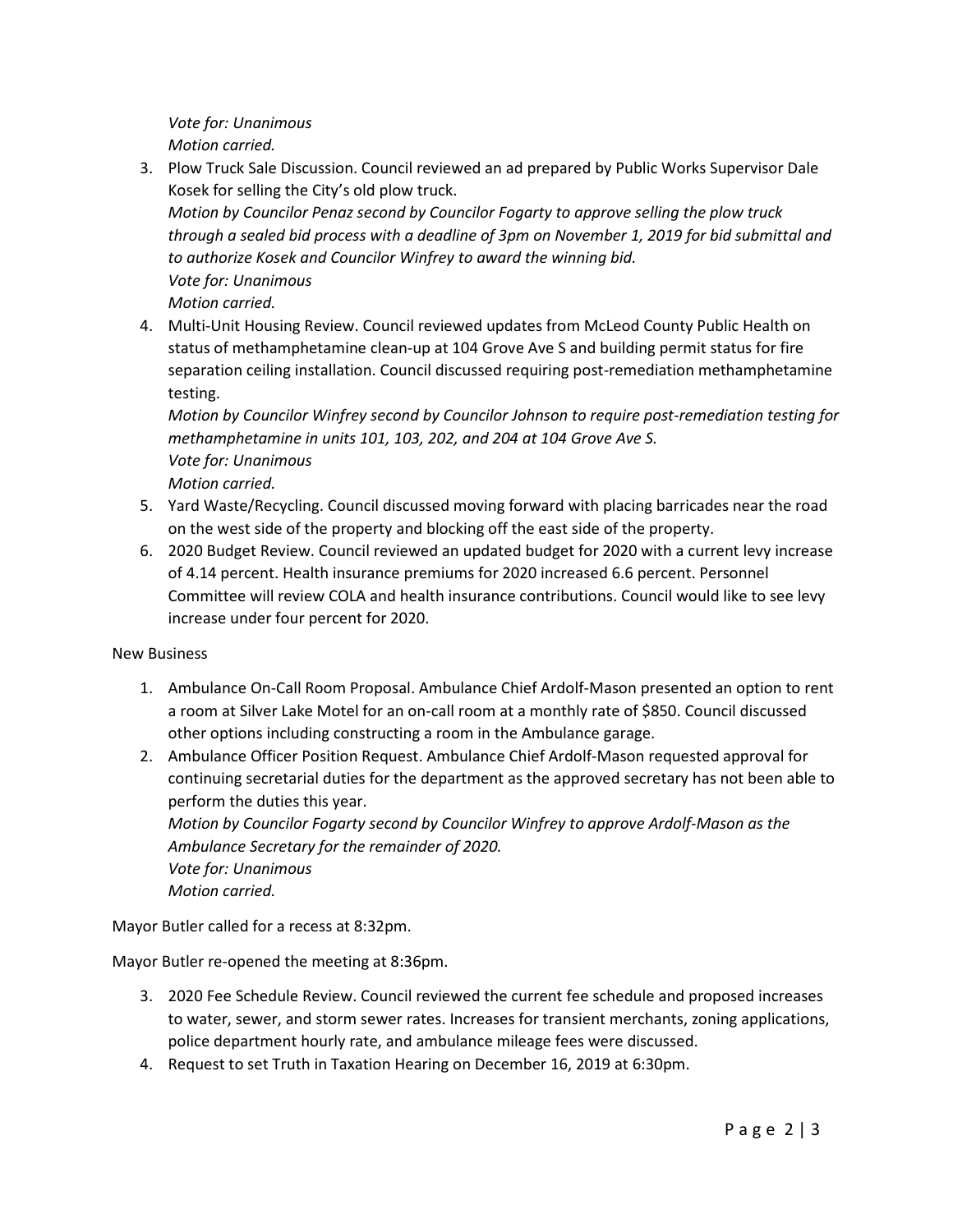*Vote for: Unanimous Motion carried.*

3. Plow Truck Sale Discussion. Council reviewed an ad prepared by Public Works Supervisor Dale Kosek for selling the City's old plow truck.

*Motion by Councilor Penaz second by Councilor Fogarty to approve selling the plow truck through a sealed bid process with a deadline of 3pm on November 1, 2019 for bid submittal and to authorize Kosek and Councilor Winfrey to award the winning bid. Vote for: Unanimous*

*Motion carried.*

4. Multi-Unit Housing Review. Council reviewed updates from McLeod County Public Health on status of methamphetamine clean-up at 104 Grove Ave S and building permit status for fire separation ceiling installation. Council discussed requiring post-remediation methamphetamine testing.

*Motion by Councilor Winfrey second by Councilor Johnson to require post-remediation testing for methamphetamine in units 101, 103, 202, and 204 at 104 Grove Ave S. Vote for: Unanimous Motion carried.*

- 5. Yard Waste/Recycling. Council discussed moving forward with placing barricades near the road on the west side of the property and blocking off the east side of the property.
- 6. 2020 Budget Review. Council reviewed an updated budget for 2020 with a current levy increase of 4.14 percent. Health insurance premiums for 2020 increased 6.6 percent. Personnel Committee will review COLA and health insurance contributions. Council would like to see levy increase under four percent for 2020.

New Business

- 1. Ambulance On-Call Room Proposal. Ambulance Chief Ardolf-Mason presented an option to rent a room at Silver Lake Motel for an on-call room at a monthly rate of \$850. Council discussed other options including constructing a room in the Ambulance garage.
- 2. Ambulance Officer Position Request. Ambulance Chief Ardolf-Mason requested approval for continuing secretarial duties for the department as the approved secretary has not been able to perform the duties this year.

*Motion by Councilor Fogarty second by Councilor Winfrey to approve Ardolf-Mason as the Ambulance Secretary for the remainder of 2020. Vote for: Unanimous Motion carried.*

Mayor Butler called for a recess at 8:32pm.

Mayor Butler re-opened the meeting at 8:36pm.

- 3. 2020 Fee Schedule Review. Council reviewed the current fee schedule and proposed increases to water, sewer, and storm sewer rates. Increases for transient merchants, zoning applications, police department hourly rate, and ambulance mileage fees were discussed.
- 4. Request to set Truth in Taxation Hearing on December 16, 2019 at 6:30pm.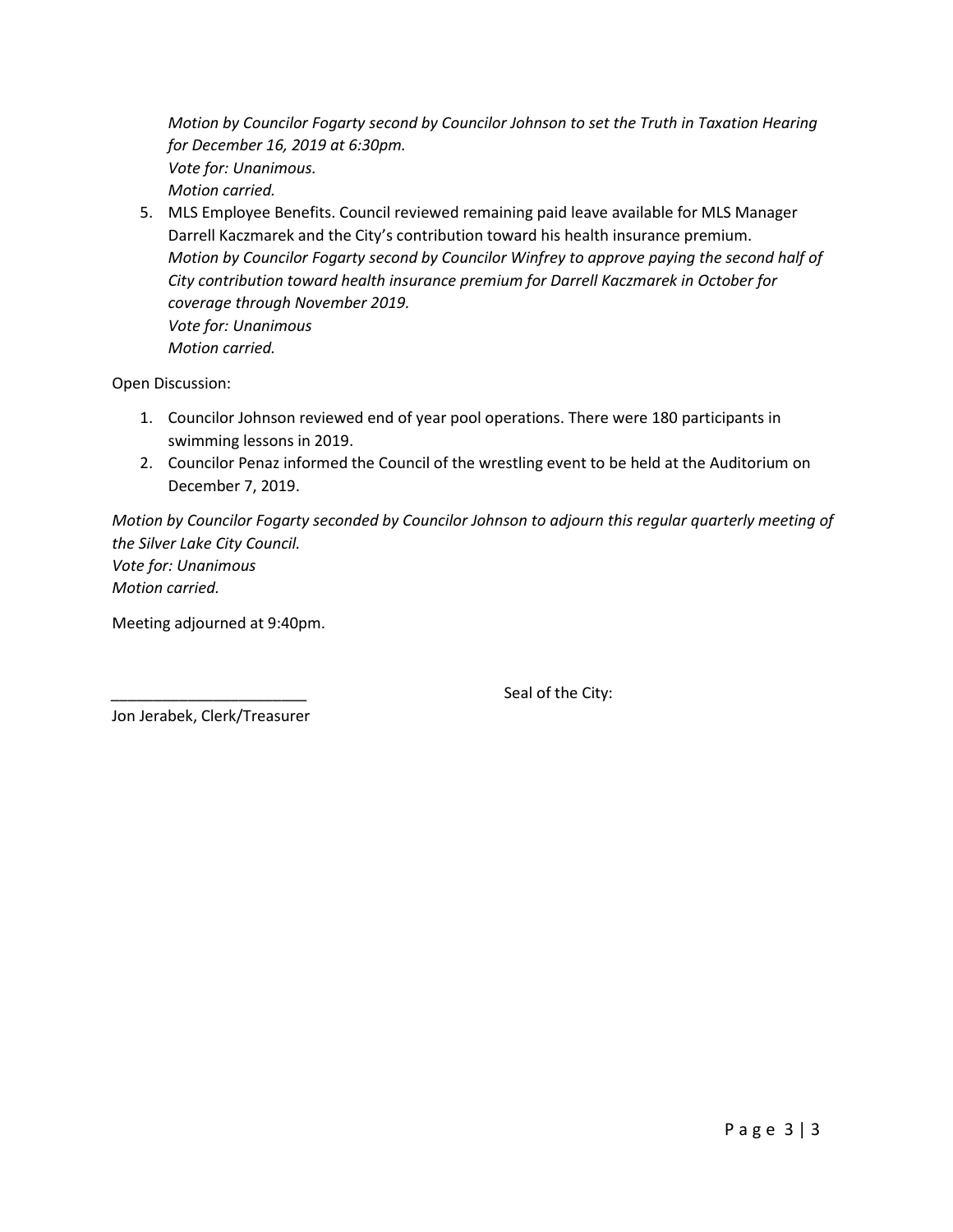*Motion by Councilor Fogarty second by Councilor Johnson to set the Truth in Taxation Hearing for December 16, 2019 at 6:30pm. Vote for: Unanimous. Motion carried.*

5. MLS Employee Benefits. Council reviewed remaining paid leave available for MLS Manager Darrell Kaczmarek and the City's contribution toward his health insurance premium. *Motion by Councilor Fogarty second by Councilor Winfrey to approve paying the second half of City contribution toward health insurance premium for Darrell Kaczmarek in October for coverage through November 2019. Vote for: Unanimous Motion carried.*

Open Discussion:

- 1. Councilor Johnson reviewed end of year pool operations. There were 180 participants in swimming lessons in 2019.
- 2. Councilor Penaz informed the Council of the wrestling event to be held at the Auditorium on December 7, 2019.

*Motion by Councilor Fogarty seconded by Councilor Johnson to adjourn this regular quarterly meeting of the Silver Lake City Council.*

*Vote for: Unanimous Motion carried.*

Meeting adjourned at 9:40pm.

Seal of the City:

Jon Jerabek, Clerk/Treasurer